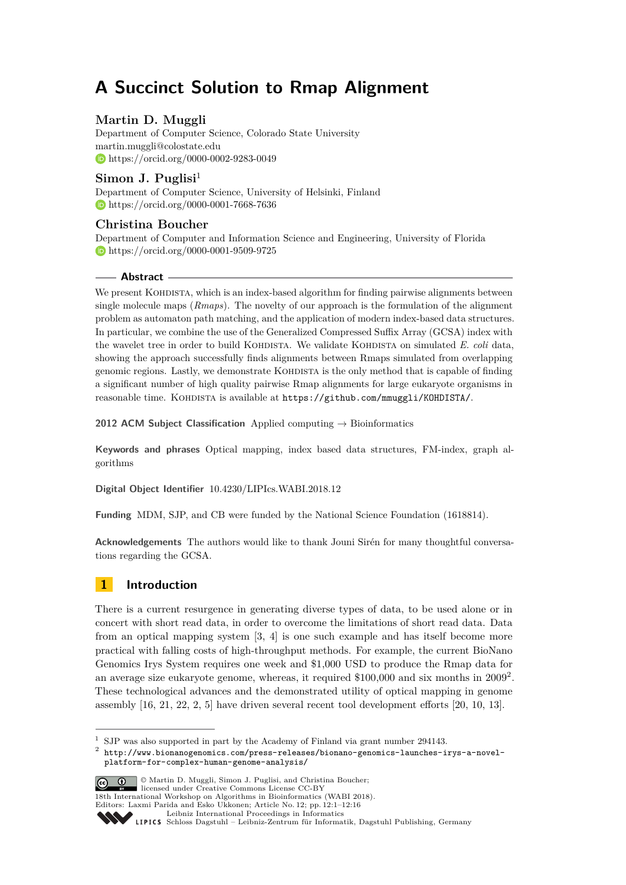# **A Succinct Solution to Rmap Alignment**

# **Martin D. Muggli**

Department of Computer Science, Colorado State University [martin.muggli@colostate.edu](mailto:martin.muggli@colostate.edu) <https://orcid.org/0000-0002-9283-0049>

# **Simon J. Puglisi**<sup>1</sup>

Department of Computer Science, University of Helsinki, Finland <https://orcid.org/0000-0001-7668-7636>

# **Christina Boucher**

Department of Computer and Information Science and Engineering, University of Florida <https://orcid.org/0000-0001-9509-9725>

# **Abstract**

We present KOHDISTA, which is an index-based algorithm for finding pairwise alignments between single molecule maps (*Rmaps*). The novelty of our approach is the formulation of the alignment problem as automaton path matching, and the application of modern index-based data structures. In particular, we combine the use of the Generalized Compressed Suffix Array (GCSA) index with the wavelet tree in order to build KOHDISTA. We validate KOHDISTA on simulated *E. coli* data, showing the approach successfully finds alignments between Rmaps simulated from overlapping genomic regions. Lastly, we demonstrate KOHDISTA is the only method that is capable of finding a significant number of high quality pairwise Rmap alignments for large eukaryote organisms in reasonable time. KOHDISTA is available at <https://github.com/mmuggli/KOHDISTA/>.

**2012 ACM Subject Classification** Applied computing → Bioinformatics

**Keywords and phrases** Optical mapping, index based data structures, FM-index, graph algorithms

**Digital Object Identifier** [10.4230/LIPIcs.WABI.2018.12](http://dx.doi.org/10.4230/LIPIcs.WABI.2018.12)

**Funding** MDM, SJP, and CB were funded by the National Science Foundation (1618814).

**Acknowledgements** The authors would like to thank Jouni Sirén for many thoughtful conversations regarding the GCSA.

# **1 Introduction**

There is a current resurgence in generating diverse types of data, to be used alone or in concert with short read data, in order to overcome the limitations of short read data. Data from an optical mapping system [\[3,](#page-11-0) [4\]](#page-11-1) is one such example and has itself become more practical with falling costs of high-throughput methods. For example, the current BioNano Genomics Irys System requires one week and \$1,000 USD to produce the Rmap data for an average size eukaryote genome, whereas, it required \$100,000 and six months in [2](#page-0-0)009<sup>2</sup>. These technological advances and the demonstrated utility of optical mapping in genome assembly [\[16,](#page-11-2) [21,](#page-12-0) [22,](#page-12-1) [2,](#page-11-3) [5\]](#page-11-4) have driven several recent tool development efforts [\[20,](#page-12-2) [10,](#page-11-5) [13\]](#page-11-6).

<span id="page-0-0"></span> $^2$  [http://www.bionanogenomics.com/press-releases/bionano-genomics-launches-irys-a-novel](http://www.bionanogenomics.com/press-releases/bionano-genomics-launches-irys-a-novel-platform-for-complex-human-genome-analysis/)[platform-for-complex-human-genome-analysis/](http://www.bionanogenomics.com/press-releases/bionano-genomics-launches-irys-a-novel-platform-for-complex-human-genome-analysis/)



© Martin D. Muggli, Simon J. Puglisi, and Christina Boucher; licensed under Creative Commons License CC-BY 18th International Workshop on Algorithms in Bioinformatics (WABI 2018).

Editors: Laxmi Parida and Esko Ukkonen; Article No. 12; pp. 12:1–12[:16](#page-15-0)

 $^{\rm 1}$  SJP was also supported in part by the Academy of Finland via grant number 294143.

[Leibniz International Proceedings in Informatics](http://www.dagstuhl.de/lipics/)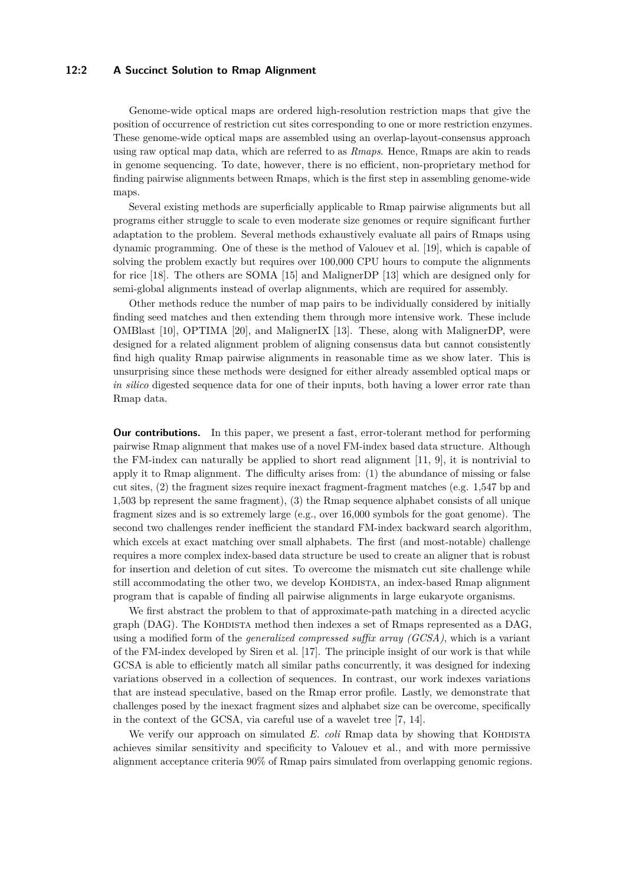# **12:2 A Succinct Solution to Rmap Alignment**

Genome-wide optical maps are ordered high-resolution restriction maps that give the position of occurrence of restriction cut sites corresponding to one or more restriction enzymes. These genome-wide optical maps are assembled using an overlap-layout-consensus approach using raw optical map data, which are referred to as *Rmaps*. Hence, Rmaps are akin to reads in genome sequencing. To date, however, there is no efficient, non-proprietary method for finding pairwise alignments between Rmaps, which is the first step in assembling genome-wide maps.

Several existing methods are superficially applicable to Rmap pairwise alignments but all programs either struggle to scale to even moderate size genomes or require significant further adaptation to the problem. Several methods exhaustively evaluate all pairs of Rmaps using dynamic programming. One of these is the method of Valouev et al. [\[19\]](#page-12-3), which is capable of solving the problem exactly but requires over 100,000 CPU hours to compute the alignments for rice [\[18\]](#page-12-4). The others are SOMA [\[15\]](#page-11-7) and MalignerDP [\[13\]](#page-11-6) which are designed only for semi-global alignments instead of overlap alignments, which are required for assembly.

Other methods reduce the number of map pairs to be individually considered by initially finding seed matches and then extending them through more intensive work. These include OMBlast [\[10\]](#page-11-5), OPTIMA [\[20\]](#page-12-2), and MalignerIX [\[13\]](#page-11-6). These, along with MalignerDP, were designed for a related alignment problem of aligning consensus data but cannot consistently find high quality Rmap pairwise alignments in reasonable time as we show later. This is unsurprising since these methods were designed for either already assembled optical maps or *in silico* digested sequence data for one of their inputs, both having a lower error rate than Rmap data.

**Our contributions.** In this paper, we present a fast, error-tolerant method for performing pairwise Rmap alignment that makes use of a novel FM-index based data structure. Although the FM-index can naturally be applied to short read alignment [\[11,](#page-11-8) [9\]](#page-11-9), it is nontrivial to apply it to Rmap alignment. The difficulty arises from: (1) the abundance of missing or false cut sites, (2) the fragment sizes require inexact fragment-fragment matches (e.g. 1,547 bp and 1,503 bp represent the same fragment), (3) the Rmap sequence alphabet consists of all unique fragment sizes and is so extremely large (e.g., over 16,000 symbols for the goat genome). The second two challenges render inefficient the standard FM-index backward search algorithm, which excels at exact matching over small alphabets. The first (and most-notable) challenge requires a more complex index-based data structure be used to create an aligner that is robust for insertion and deletion of cut sites. To overcome the mismatch cut site challenge while still accommodating the other two, we develop KOHDISTA, an index-based Rmap alignment program that is capable of finding all pairwise alignments in large eukaryote organisms.

We first abstract the problem to that of approximate-path matching in a directed acyclic graph (DAG). The KOHDISTA method then indexes a set of Rmaps represented as a DAG, using a modified form of the *generalized compressed suffix array (GCSA)*, which is a variant of the FM-index developed by Siren et al. [\[17\]](#page-12-5). The principle insight of our work is that while GCSA is able to efficiently match all similar paths concurrently, it was designed for indexing variations observed in a collection of sequences. In contrast, our work indexes variations that are instead speculative, based on the Rmap error profile. Lastly, we demonstrate that challenges posed by the inexact fragment sizes and alphabet size can be overcome, specifically in the context of the GCSA, via careful use of a wavelet tree [\[7,](#page-11-10) [14\]](#page-11-11).

We verify our approach on simulated *E. coli* Rmap data by showing that KOHDISTA achieves similar sensitivity and specificity to Valouev et al., and with more permissive alignment acceptance criteria 90% of Rmap pairs simulated from overlapping genomic regions.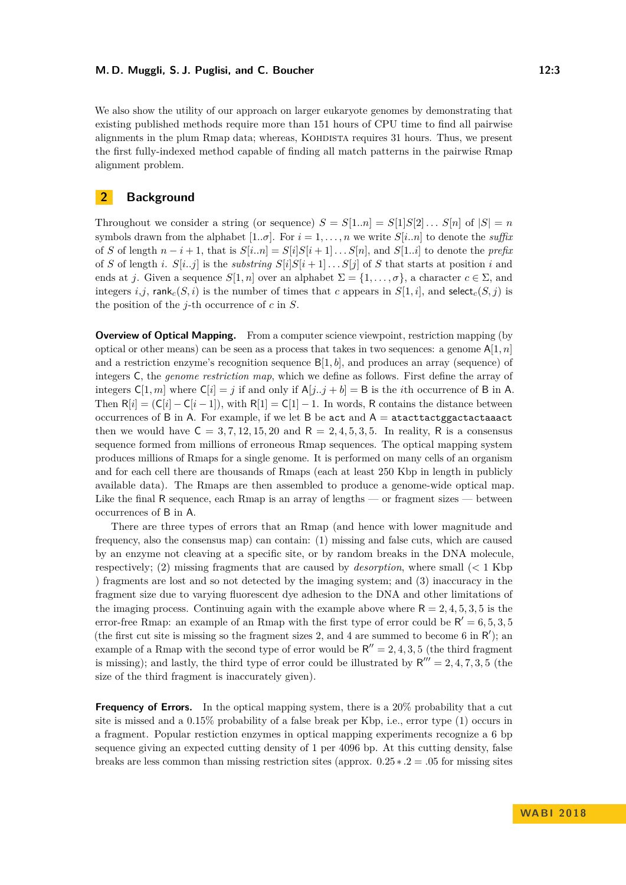#### **M. D. Muggli, S. J. Puglisi, and C. Boucher 12:3** 12:3

We also show the utility of our approach on larger eukaryote genomes by demonstrating that existing published methods require more than 151 hours of CPU time to find all pairwise alignments in the plum Rmap data; whereas, KOHDISTA requires 31 hours. Thus, we present the first fully-indexed method capable of finding all match patterns in the pairwise Rmap alignment problem.

# **2 Background**

Throughout we consider a string (or sequence)  $S = S[1..n] = S[1]S[2] \dots S[n]$  of  $|S| = n$ symbols drawn from the alphabet  $[1..\sigma]$ . For  $i = 1, \ldots, n$  we write  $S[i..n]$  to denote the *suffix* of *S* of length  $n - i + 1$ , that is  $S[i..n] = S[i]S[i+1] \dots S[n]$ , and  $S[1..i]$  to denote the *prefix* of *S* of length *i*.  $S[i..j]$  is the *substring*  $S[i]S[i+1] \ldots S[j]$  of *S* that starts at position *i* and ends at *j*. Given a sequence  $S[1, n]$  over an alphabet  $\Sigma = \{1, \ldots, \sigma\}$ , a character  $c \in \Sigma$ , and integers *i*,*j*, rank<sub>*c*</sub>(*S*, *i*) is the number of times that *c* appears in  $S[1, i]$ , and select<sub>*c*</sub>(*S*, *j*) is the position of the *j*-th occurrence of *c* in *S*.

**Overview of Optical Mapping.** From a computer science viewpoint, restriction mapping (by optical or other means) can be seen as a process that takes in two sequences: a genome  $A[1, n]$ and a restriction enzyme's recognition sequence B[1*, b*], and produces an array (sequence) of integers C, the *genome restriction map*, which we define as follows. First define the array of integers  $C[1, m]$  where  $C[i] = j$  if and only if  $A[j..j + b] = B$  is the *i*th occurrence of B in A. Then  $R[i] = (C[i] - C[i-1])$ , with  $R[1] = C[1] - 1$ . In words, R contains the distance between occurrences of B in A. For example, if we let B be act and  $A =$  atacttactggactactaaact then we would have  $C = 3, 7, 12, 15, 20$  and  $R = 2, 4, 5, 3, 5$ . In reality, R is a consensus sequence formed from millions of erroneous Rmap sequences. The optical mapping system produces millions of Rmaps for a single genome. It is performed on many cells of an organism and for each cell there are thousands of Rmaps (each at least 250 Kbp in length in publicly available data). The Rmaps are then assembled to produce a genome-wide optical map. Like the final R sequence, each Rmap is an array of lengths — or fragment sizes — between occurrences of B in A.

There are three types of errors that an Rmap (and hence with lower magnitude and frequency, also the consensus map) can contain: (1) missing and false cuts, which are caused by an enzyme not cleaving at a specific site, or by random breaks in the DNA molecule, respectively; (2) missing fragments that are caused by *desorption*, where small (*<* 1 Kbp ) fragments are lost and so not detected by the imaging system; and (3) inaccuracy in the fragment size due to varying fluorescent dye adhesion to the DNA and other limitations of the imaging process. Continuing again with the example above where  $R = 2, 4, 5, 3, 5$  is the error-free Rmap: an example of an Rmap with the first type of error could be  $R' = 6, 5, 3, 5$ (the first cut site is missing so the fragment sizes 2, and 4 are summed to become 6 in  $\mathsf{R}'$ ); an example of a Rmap with the second type of error would be  $R'' = 2, 4, 3, 5$  (the third fragment is missing); and lastly, the third type of error could be illustrated by  $R''' = 2, 4, 7, 3, 5$  (the size of the third fragment is inaccurately given).

**Frequency of Errors.** In the optical mapping system, there is a 20% probability that a cut site is missed and a 0.15% probability of a false break per Kbp, i.e., error type (1) occurs in a fragment. Popular restiction enzymes in optical mapping experiments recognize a 6 bp sequence giving an expected cutting density of 1 per 4096 bp. At this cutting density, false breaks are less common than missing restriction sites (approx. 0*.*25 ∗ *.*2 = *.*05 for missing sites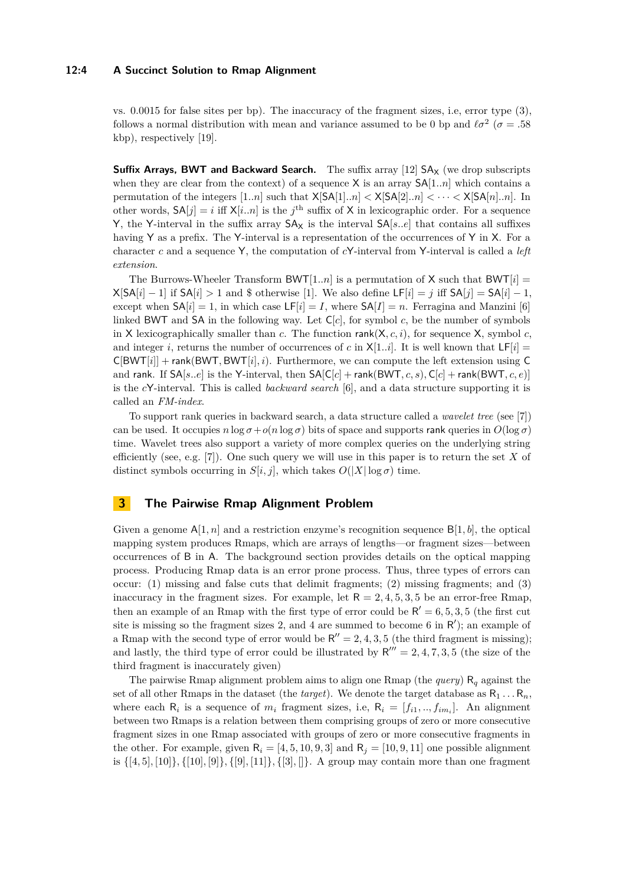#### **12:4 A Succinct Solution to Rmap Alignment**

vs. 0.0015 for false sites per bp). The inaccuracy of the fragment sizes, i.e, error type (3), follows a normal distribution with mean and variance assumed to be 0 bp and  $\ell \sigma^2$  ( $\sigma = .58$ ) kbp), respectively [\[19\]](#page-12-3).

**Suffix Arrays, BWT and Backward Search.** The suffix array [\[12\]](#page-11-12) SA<sub>X</sub> (we drop subscripts when they are clear from the context) of a sequence X is an array SA[1*..n*] which contains a permutation of the integers  $[1..n]$  such that  $X[SA[1].n] < X[SA[2].n] < \cdots < X[SA[n].n]$ . In other words,  $SA[j] = i$  iff  $X[i..n]$  is the *j*<sup>th</sup> suffix of X in lexicographic order. For a sequence Y, the Y-interval in the suffix array  $SA<sub>X</sub>$  is the interval  $SA[s..e]$  that contains all suffixes having Y as a prefix. The Y-interval is a representation of the occurrences of Y in X. For a character *c* and a sequence Y, the computation of *c*Y-interval from Y-interval is called a *left extension*.

The Burrows-Wheeler Transform BWT $[1..n]$  is a permutation of X such that BWT $[i]$  =  $X[SA[i] - 1]$  if  $SA[i] > 1$  and \$ otherwise [\[1\]](#page-11-13). We also define  $LF[i] = j$  iff  $SA[j] = SA[i] - 1$ , except when  $SA[i] = 1$ , in which case  $LF[i] = I$ , where  $SA[I] = n$ . Ferragina and Manzini [\[6\]](#page-11-14) linked BWT and SA in the following way. Let  $C[c]$ , for symbol *c*, be the number of symbols in X lexicographically smaller than *c*. The function  $rank(X, c, i)$ , for sequence X, symbol *c*, and integer *i*, returns the number of occurrences of *c* in  $X[1..i]$ . It is well known that  $LF[i]$  $C[BWT[i]] + rank(BWT, BWT[i], i)$ . Furthermore, we can compute the left extension using C and rank. If  $SA[s..e]$  is the Y-interval, then  $SA[Cl]$  + rank(BWT, c, s),  $Cl]$  + rank(BWT, c, e)] is the *c*Y-interval. This is called *backward search* [\[6\]](#page-11-14), and a data structure supporting it is called an *FM-index*.

To support rank queries in backward search, a data structure called a *wavelet tree* (see [\[7\]](#page-11-10)) can be used. It occupies  $n \log \sigma + o(n \log \sigma)$  bits of space and supports rank queries in  $O(\log \sigma)$ time. Wavelet trees also support a variety of more complex queries on the underlying string efficiently (see, e.g. [\[7\]](#page-11-10)). One such query we will use in this paper is to return the set *X* of distinct symbols occurring in  $S[i, j]$ , which takes  $O(|X| \log \sigma)$  time.

# **3 The Pairwise Rmap Alignment Problem**

Given a genome  $A[1, n]$  and a restriction enzyme's recognition sequence  $B[1, b]$ , the optical mapping system produces Rmaps, which are arrays of lengths—or fragment sizes—between occurrences of B in A. The background section provides details on the optical mapping process. Producing Rmap data is an error prone process. Thus, three types of errors can occur: (1) missing and false cuts that delimit fragments; (2) missing fragments; and (3) inaccuracy in the fragment sizes. For example, let  $R = 2, 4, 5, 3, 5$  be an error-free Rmap, then an example of an Rmap with the first type of error could be  $R' = 6, 5, 3, 5$  (the first cut site is missing so the fragment sizes 2, and 4 are summed to become 6 in  $R'$ ); an example of a Rmap with the second type of error would be  $R'' = 2, 4, 3, 5$  (the third fragment is missing); and lastly, the third type of error could be illustrated by  $R''' = 2, 4, 7, 3, 5$  (the size of the third fragment is inaccurately given)

The pairwise Rmap alignment problem aims to align one Rmap (the *query*) R*<sup>q</sup>* against the set of all other Rmaps in the dataset (the *target*). We denote the target database as  $R_1 \ldots R_n$ , where each  $R_i$  is a sequence of  $m_i$  fragment sizes, i.e,  $R_i = [f_{i1},..,f_{im_i}]$ . An alignment between two Rmaps is a relation between them comprising groups of zero or more consecutive fragment sizes in one Rmap associated with groups of zero or more consecutive fragments in the other. For example, given  $R_i = [4, 5, 10, 9, 3]$  and  $R_i = [10, 9, 11]$  one possible alignment is {[4*,* 5]*,* [10]}*,* {[10]*,* [9]}*,* {[9]*,* [11]}*,* {[3]*,* []}. A group may contain more than one fragment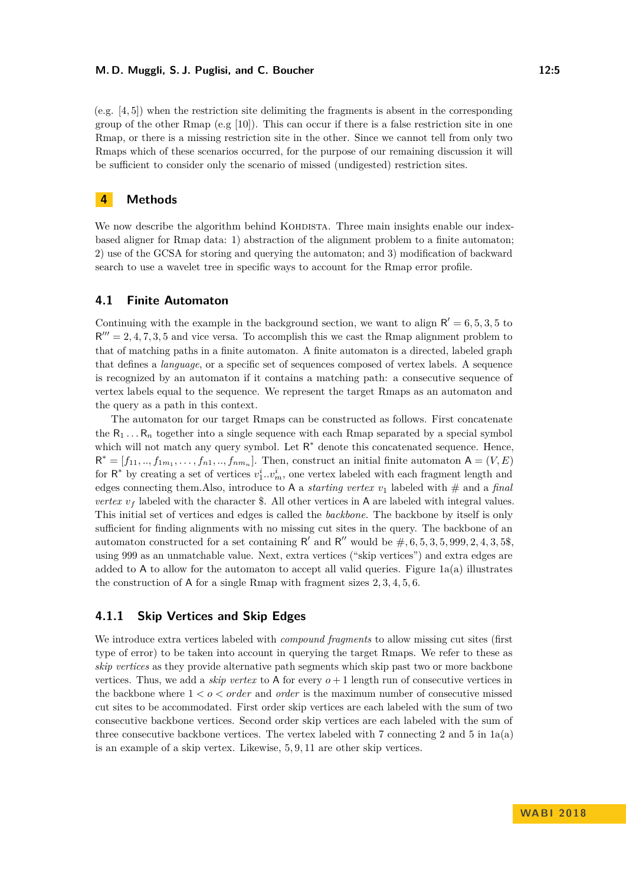#### **M. D. Muggli, S. J. Puglisi, and C. Boucher 12:5** 12:5

(e.g. [4*,* 5]) when the restriction site delimiting the fragments is absent in the corresponding group of the other Rmap (e.g  $[10]$ ). This can occur if there is a false restriction site in one Rmap, or there is a missing restriction site in the other. Since we cannot tell from only two Rmaps which of these scenarios occurred, for the purpose of our remaining discussion it will be sufficient to consider only the scenario of missed (undigested) restriction sites.

# **4 Methods**

We now describe the algorithm behind KOHDISTA. Three main insights enable our indexbased aligner for Rmap data: 1) abstraction of the alignment problem to a finite automaton; 2) use of the GCSA for storing and querying the automaton; and 3) modification of backward search to use a wavelet tree in specific ways to account for the Rmap error profile.

### **4.1 Finite Automaton**

Continuing with the example in the background section, we want to align  $R' = 6, 5, 3, 5$  to  $R''' = 2, 4, 7, 3, 5$  and vice versa. To accomplish this we cast the Rmap alignment problem to that of matching paths in a finite automaton. A finite automaton is a directed, labeled graph that defines a *language*, or a specific set of sequences composed of vertex labels. A sequence is recognized by an automaton if it contains a matching path: a consecutive sequence of vertex labels equal to the sequence. We represent the target Rmaps as an automaton and the query as a path in this context.

The automaton for our target Rmaps can be constructed as follows. First concatenate the  $R_1 \ldots R_n$  together into a single sequence with each Rmap separated by a special symbol which will not match any query symbol. Let  $R^*$  denote this concatenated sequence. Hence,  $\mathsf{R}^* = [f_{11}, ..., f_{1m_1}, ..., f_{n1}, ..., f_{nm_n}]$ . Then, construct an initial finite automaton  $\mathsf{A} = (V, E)$ for  $\mathsf{R}^*$  by creating a set of vertices  $v_1^i \dots v_m^i$ , one vertex labeled with each fragment length and edges connecting them.Also, introduce to A a *starting vertex*  $v_1$  labeled with  $\#$  and a *final vertex*  $v_f$  labeled with the character \$. All other vertices in A are labeled with integral values. This initial set of vertices and edges is called the *backbone*. The backbone by itself is only sufficient for finding alignments with no missing cut sites in the query. The backbone of an automaton constructed for a set containing  $R'$  and  $R''$  would be  $\#$ , 6, 5, 3, 5, 999, 2, 4, 3, 5\$, using 999 as an unmatchable value. Next, extra vertices ("skip vertices") and extra edges are added to A to allow for the automaton to accept all valid queries. Figure  $1a(a)$  illustrates the construction of A for a single Rmap with fragment sizes 2*,* 3*,* 4*,* 5*,* 6.

# **4.1.1 Skip Vertices and Skip Edges**

We introduce extra vertices labeled with *compound fragments* to allow missing cut sites (first type of error) to be taken into account in querying the target Rmaps. We refer to these as *skip vertices* as they provide alternative path segments which skip past two or more backbone vertices. Thus, we add a *skip vertex* to A for every  $o + 1$  length run of consecutive vertices in the backbone where  $1 < o < order$  and *order* is the maximum number of consecutive missed cut sites to be accommodated. First order skip vertices are each labeled with the sum of two consecutive backbone vertices. Second order skip vertices are each labeled with the sum of three consecutive backbone vertices. The vertex labeled with 7 connecting 2 and 5 in [1a\(](#page-5-0)a) is an example of a skip vertex. Likewise, 5*,* 9*,* 11 are other skip vertices.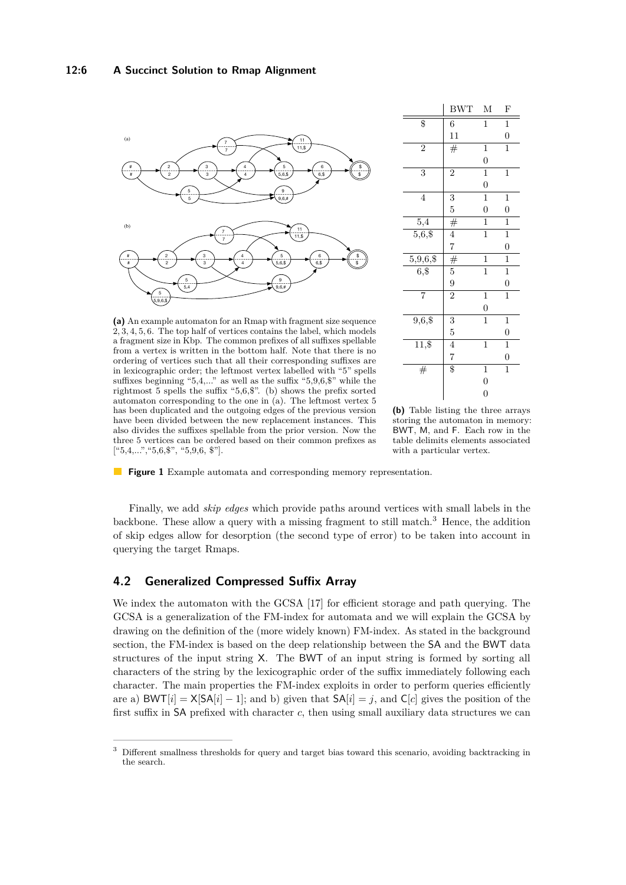<span id="page-5-0"></span>

**(a)** An example automaton for an Rmap with fragment size sequence 2*,* 3*,* 4*,* 5*,* 6. The top half of vertices contains the label, which models a fragment size in Kbp. The common prefixes of all suffixes spellable from a vertex is written in the bottom half. Note that there is no ordering of vertices such that all their corresponding suffixes are in lexicographic order; the leftmost vertex labelled with "5" spells suffixes beginning " $5,4,...$ " as well as the suffix " $5,9,6,\$$ " while the rightmost 5 spells the suffix "5,6,\$". (b) shows the prefix sorted automaton corresponding to the one in (a). The leftmost vertex 5 has been duplicated and the outgoing edges of the previous version have been divided between the new replacement instances. This also divides the suffixes spellable from the prior version. Now the three 5 vertices can be ordered based on their common prefixes as ["5,4,...","5,6,\$", "5,9,6, \$"].

|                       | <b>BWT</b>     | М                | F                |
|-----------------------|----------------|------------------|------------------|
| \$                    | 6              | $\mathbf{1}$     | $\overline{1}$   |
|                       | 11             |                  | $\boldsymbol{0}$ |
| $\overline{2}$        | #              | $\mathbf{1}$     | $\overline{1}$   |
|                       |                | $\overline{0}$   |                  |
| $\overline{3}$        | $\overline{2}$ | $\mathbf{1}$     | $\mathbf 1$      |
|                       |                | $\boldsymbol{0}$ |                  |
| 4                     | 3              | $\mathbf 1$      | $\mathbf{1}$     |
|                       | $\overline{5}$ | $\overline{0}$   | $\boldsymbol{0}$ |
| $^{5,4}$              | #              | $\mathbf{1}$     | $\mathbf{1}$     |
| $\frac{1}{5,6,8}$     | $\overline{4}$ | $\overline{1}$   | $\overline{1}$   |
|                       | $\overline{7}$ |                  | $\boldsymbol{0}$ |
| $5,9,6,\overline{$8}$ | #              | $\mathbf{1}$     | $\overline{1}$   |
| $\overline{6,}$ \$    | $\overline{5}$ | $\mathbf{1}$     | $\mathbf{1}$     |
|                       | 9              |                  | $\boldsymbol{0}$ |
| $\overline{7}$        | $\overline{2}$ | $\mathbf{1}$     | $\overline{1}$   |
|                       |                | $\overline{0}$   |                  |
| $9,6,$ \$             | 3              | $\mathbf{1}$     | $\mathbf{1}$     |
|                       | $\overline{5}$ |                  | $\overline{0}$   |
| 11,\$                 | $\overline{4}$ | $\mathbf{1}$     | $\overline{1}$   |
|                       | $\overline{7}$ |                  | $\boldsymbol{0}$ |
| #                     | \$             | $\mathbf{1}$     | $\mathbf{1}$     |
|                       |                | $\boldsymbol{0}$ |                  |
|                       |                | $\overline{0}$   |                  |

**(b)** Table listing the three arrays storing the automaton in memory: BWT, M, and F. Each row in the table delimits elements associated with a particular vertex.

**Figure 1** Example automata and corresponding memory representation.

Finally, we add *skip edges* which provide paths around vertices with small labels in the backbone. These allow a query with a missing fragment to still match.[3](#page-5-1) Hence, the addition of skip edges allow for desorption (the second type of error) to be taken into account in querying the target Rmaps.

# **4.2 Generalized Compressed Suffix Array**

We index the automaton with the GCSA [\[17\]](#page-12-5) for efficient storage and path querying. The GCSA is a generalization of the FM-index for automata and we will explain the GCSA by drawing on the definition of the (more widely known) FM-index. As stated in the background section, the FM-index is based on the deep relationship between the SA and the BWT data structures of the input string X. The BWT of an input string is formed by sorting all characters of the string by the lexicographic order of the suffix immediately following each character. The main properties the FM-index exploits in order to perform queries efficiently are a)  $\text{BWT}[i] = \text{X}[\text{SA}[i] - 1]$ ; and b) given that  $\text{SA}[i] = j$ , and  $\text{C}[c]$  gives the position of the first suffix in SA prefixed with character *c*, then using small auxiliary data structures we can

<span id="page-5-1"></span><sup>&</sup>lt;sup>3</sup> Different smallness thresholds for query and target bias toward this scenario, avoiding backtracking in the search.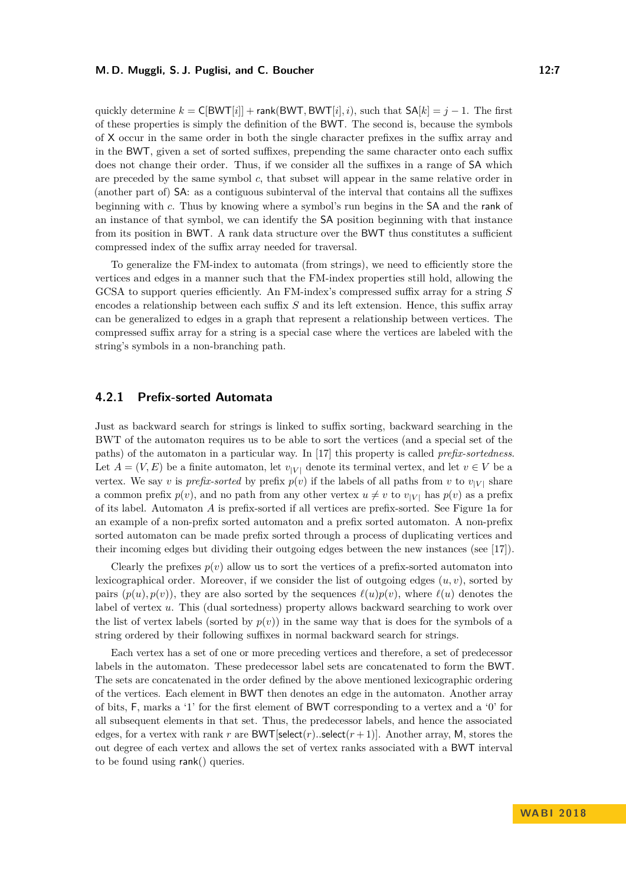#### **M. D. Muggli, S. J. Puglisi, and C. Boucher 12:7** 12:7

quickly determine  $k = C[BWT[i]] + \text{rank}(BWT, BWT[i], i)$ , such that  $SA[k] = j - 1$ . The first of these properties is simply the definition of the BWT. The second is, because the symbols of X occur in the same order in both the single character prefixes in the suffix array and in the BWT, given a set of sorted suffixes, prepending the same character onto each suffix does not change their order. Thus, if we consider all the suffixes in a range of SA which are preceded by the same symbol *c*, that subset will appear in the same relative order in (another part of) SA: as a contiguous subinterval of the interval that contains all the suffixes beginning with *c*. Thus by knowing where a symbol's run begins in the SA and the rank of an instance of that symbol, we can identify the SA position beginning with that instance from its position in BWT. A rank data structure over the BWT thus constitutes a sufficient compressed index of the suffix array needed for traversal.

To generalize the FM-index to automata (from strings), we need to efficiently store the vertices and edges in a manner such that the FM-index properties still hold, allowing the GCSA to support queries efficiently. An FM-index's compressed suffix array for a string *S* encodes a relationship between each suffix *S* and its left extension. Hence, this suffix array can be generalized to edges in a graph that represent a relationship between vertices. The compressed suffix array for a string is a special case where the vertices are labeled with the string's symbols in a non-branching path.

# **4.2.1 Prefix-sorted Automata**

Just as backward search for strings is linked to suffix sorting, backward searching in the BWT of the automaton requires us to be able to sort the vertices (and a special set of the paths) of the automaton in a particular way. In [\[17\]](#page-12-5) this property is called *prefix-sortedness*. Let  $A = (V, E)$  be a finite automaton, let  $v_{|V|}$  denote its terminal vertex, and let  $v \in V$  be a vertex. We say *v* is *prefix-sorted* by prefix  $p(v)$  if the labels of all paths from *v* to  $v_{|V|}$  share a common prefix  $p(v)$ , and no path from any other vertex  $u \neq v$  to  $v_{|V|}$  has  $p(v)$  as a prefix of its label. Automaton *A* is prefix-sorted if all vertices are prefix-sorted. See Figure [1a](#page-5-0) for an example of a non-prefix sorted automaton and a prefix sorted automaton. A non-prefix sorted automaton can be made prefix sorted through a process of duplicating vertices and their incoming edges but dividing their outgoing edges between the new instances (see [\[17\]](#page-12-5)).

Clearly the prefixes  $p(v)$  allow us to sort the vertices of a prefix-sorted automaton into lexicographical order. Moreover, if we consider the list of outgoing edges (*u, v*), sorted by pairs  $(p(u), p(v))$ , they are also sorted by the sequences  $\ell(u)p(v)$ , where  $\ell(u)$  denotes the label of vertex *u*. This (dual sortedness) property allows backward searching to work over the list of vertex labels (sorted by  $p(v)$ ) in the same way that is does for the symbols of a string ordered by their following suffixes in normal backward search for strings.

Each vertex has a set of one or more preceding vertices and therefore, a set of predecessor labels in the automaton. These predecessor label sets are concatenated to form the BWT. The sets are concatenated in the order defined by the above mentioned lexicographic ordering of the vertices. Each element in BWT then denotes an edge in the automaton. Another array of bits, F, marks a '1' for the first element of BWT corresponding to a vertex and a '0' for all subsequent elements in that set. Thus, the predecessor labels, and hence the associated edges, for a vertex with rank *r* are BWT[select(*r*)...select( $r+1$ ]]. Another array, M, stores the out degree of each vertex and allows the set of vertex ranks associated with a BWT interval to be found using rank() queries.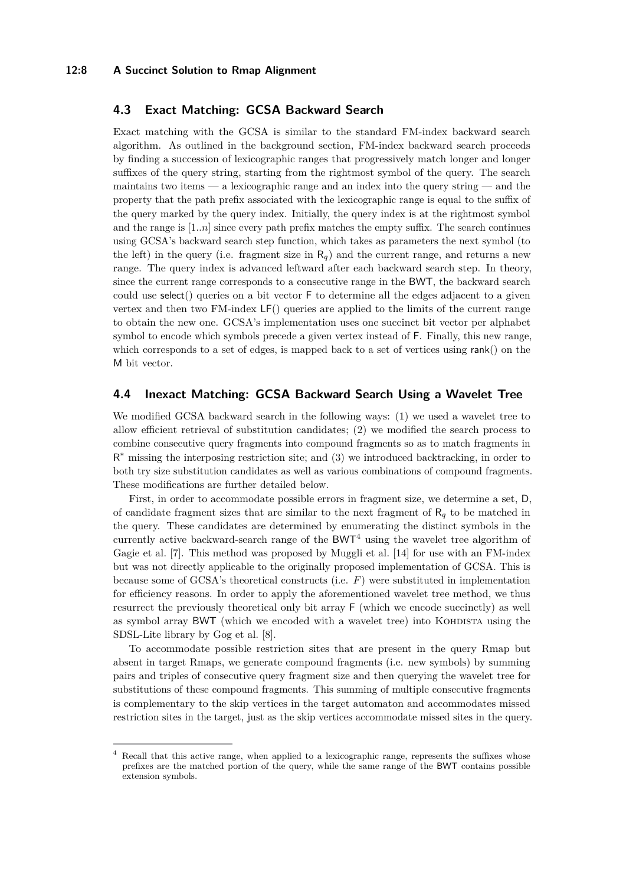#### **12:8 A Succinct Solution to Rmap Alignment**

# **4.3 Exact Matching: GCSA Backward Search**

Exact matching with the GCSA is similar to the standard FM-index backward search algorithm. As outlined in the background section, FM-index backward search proceeds by finding a succession of lexicographic ranges that progressively match longer and longer suffixes of the query string, starting from the rightmost symbol of the query. The search maintains two items — a lexicographic range and an index into the query string — and the property that the path prefix associated with the lexicographic range is equal to the suffix of the query marked by the query index. Initially, the query index is at the rightmost symbol and the range is  $[1..n]$  since every path prefix matches the empty suffix. The search continues using GCSA's backward search step function, which takes as parameters the next symbol (to the left) in the query (i.e. fragment size in  $R_q$ ) and the current range, and returns a new range. The query index is advanced leftward after each backward search step. In theory, since the current range corresponds to a consecutive range in the BWT, the backward search could use select() queries on a bit vector F to determine all the edges adjacent to a given vertex and then two FM-index LF() queries are applied to the limits of the current range to obtain the new one. GCSA's implementation uses one succinct bit vector per alphabet symbol to encode which symbols precede a given vertex instead of F. Finally, this new range, which corresponds to a set of edges, is mapped back to a set of vertices using rank() on the M bit vector.

# **4.4 Inexact Matching: GCSA Backward Search Using a Wavelet Tree**

We modified GCSA backward search in the following ways: (1) we used a wavelet tree to allow efficient retrieval of substitution candidates; (2) we modified the search process to combine consecutive query fragments into compound fragments so as to match fragments in R <sup>∗</sup> missing the interposing restriction site; and (3) we introduced backtracking, in order to both try size substitution candidates as well as various combinations of compound fragments. These modifications are further detailed below.

First, in order to accommodate possible errors in fragment size, we determine a set, D, of candidate fragment sizes that are similar to the next fragment of  $R_q$  to be matched in the query. These candidates are determined by enumerating the distinct symbols in the currently active backward-search range of the  $BWT<sup>4</sup>$  $BWT<sup>4</sup>$  $BWT<sup>4</sup>$  using the wavelet tree algorithm of Gagie et al. [\[7\]](#page-11-10). This method was proposed by Muggli et al. [\[14\]](#page-11-11) for use with an FM-index but was not directly applicable to the originally proposed implementation of GCSA. This is because some of GCSA's theoretical constructs (i.e. *F*) were substituted in implementation for efficiency reasons. In order to apply the aforementioned wavelet tree method, we thus resurrect the previously theoretical only bit array F (which we encode succinctly) as well as symbol array BWT (which we encoded with a wavelet tree) into KOHDISTA using the SDSL-Lite library by Gog et al. [\[8\]](#page-11-15).

To accommodate possible restriction sites that are present in the query Rmap but absent in target Rmaps, we generate compound fragments (i.e. new symbols) by summing pairs and triples of consecutive query fragment size and then querying the wavelet tree for substitutions of these compound fragments. This summing of multiple consecutive fragments is complementary to the skip vertices in the target automaton and accommodates missed restriction sites in the target, just as the skip vertices accommodate missed sites in the query.

<span id="page-7-0"></span>Recall that this active range, when applied to a lexicographic range, represents the suffixes whose prefixes are the matched portion of the query, while the same range of the BWT contains possible extension symbols.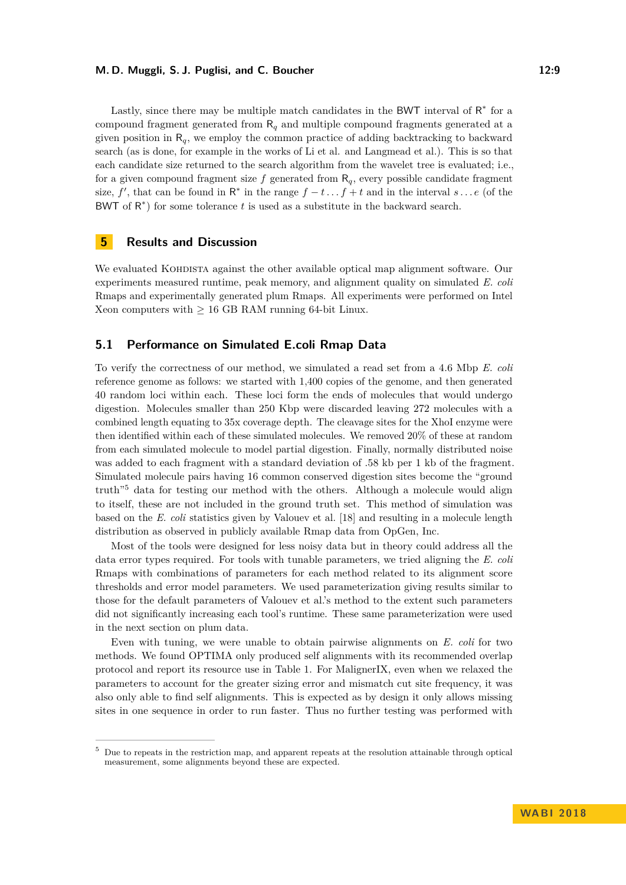#### **M. D. Muggli, S. J. Puglisi, and C. Boucher 12:9** 12:9

Lastly, since there may be multiple match candidates in the BWT interval of  $R^*$  for a compound fragment generated from R*<sup>q</sup>* and multiple compound fragments generated at a given position in  $R_q$ , we employ the common practice of adding backtracking to backward search (as is done, for example in the works of Li et al. and Langmead et al.). This is so that each candidate size returned to the search algorithm from the wavelet tree is evaluated; i.e., for a given compound fragment size f generated from  $R_q$ , every possible candidate fragment size,  $f'$ , that can be found in R<sup>\*</sup> in the range  $f - t \dots f + t$  and in the interval  $s \dots e$  (of the

# **5 Results and Discussion**

We evaluated KOHDISTA against the other available optical map alignment software. Our experiments measured runtime, peak memory, and alignment quality on simulated *E. coli* Rmaps and experimentally generated plum Rmaps. All experiments were performed on Intel Xeon computers with  $> 16$  GB RAM running 64-bit Linux.

BWT of  $R^*$ ) for some tolerance  $t$  is used as a substitute in the backward search.

## **5.1 Performance on Simulated E.coli Rmap Data**

To verify the correctness of our method, we simulated a read set from a 4.6 Mbp *E. coli* reference genome as follows: we started with 1,400 copies of the genome, and then generated 40 random loci within each. These loci form the ends of molecules that would undergo digestion. Molecules smaller than 250 Kbp were discarded leaving 272 molecules with a combined length equating to 35x coverage depth. The cleavage sites for the XhoI enzyme were then identified within each of these simulated molecules. We removed 20% of these at random from each simulated molecule to model partial digestion. Finally, normally distributed noise was added to each fragment with a standard deviation of .58 kb per 1 kb of the fragment. Simulated molecule pairs having 16 common conserved digestion sites become the "ground truth"[5](#page-8-0) data for testing our method with the others. Although a molecule would align to itself, these are not included in the ground truth set. This method of simulation was based on the *E. coli* statistics given by Valouev et al. [\[18\]](#page-12-4) and resulting in a molecule length distribution as observed in publicly available Rmap data from OpGen, Inc.

Most of the tools were designed for less noisy data but in theory could address all the data error types required. For tools with tunable parameters, we tried aligning the *E. coli* Rmaps with combinations of parameters for each method related to its alignment score thresholds and error model parameters. We used parameterization giving results similar to those for the default parameters of Valouev et al.'s method to the extent such parameters did not significantly increasing each tool's runtime. These same parameterization were used in the next section on plum data.

Even with tuning, we were unable to obtain pairwise alignments on *E. coli* for two methods. We found OPTIMA only produced self alignments with its recommended overlap protocol and report its resource use in Table [1.](#page-9-0) For MalignerIX, even when we relaxed the parameters to account for the greater sizing error and mismatch cut site frequency, it was also only able to find self alignments. This is expected as by design it only allows missing sites in one sequence in order to run faster. Thus no further testing was performed with

<span id="page-8-0"></span><sup>5</sup> Due to repeats in the restriction map, and apparent repeats at the resolution attainable through optical measurement, some alignments beyond these are expected.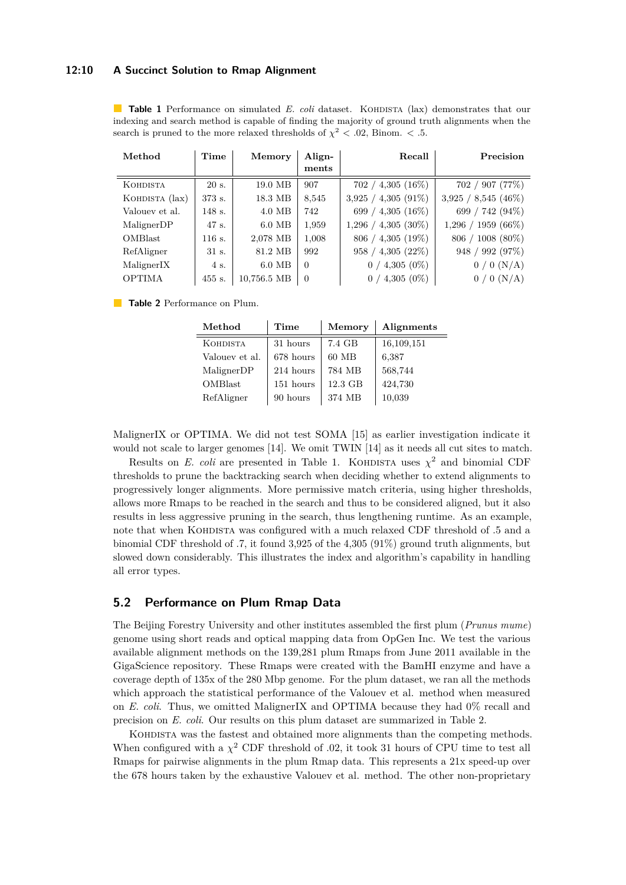#### **12:10 A Succinct Solution to Rmap Alignment**

<span id="page-9-0"></span>**Table 1** Performance on simulated *E. coli* dataset. KOHDISTA (lax) demonstrates that our indexing and search method is capable of finding the majority of ground truth alignments when the search is pruned to the more relaxed thresholds of  $\chi^2$  < .02, Binom. < .5.

| Method                 | Time   | Memory      | Align-   | Recall                   | Precision             |
|------------------------|--------|-------------|----------|--------------------------|-----------------------|
|                        |        |             | ments    |                          |                       |
| <b>KOHDISTA</b>        | 20 s.  | 19.0 MB     | 907      | $702 / 4,305 (16\%)$     | 702 / 907 (77%)       |
| KOHDISTA (lax)         | 373 s. | 18.3 MB     | 8,545    | $4,305(91\%)$<br>3.925 / | 3,925 / 8,545 (46%)   |
| Valouev et al.         | 148 s. | $4.0$ MB    | 742      | 699 / 4,305 $(16\%)$     | 699 / 742 (94%)       |
| MalignerDP             | 47 s.  | $6.0$ MB    | 1,959    | $1,296 / 4,305 (30\%)$   | $1,296 / 1959 (66\%)$ |
| <b>OMBlast</b>         | 116 s. | 2,078 MB    | 1,008    | $806 / 4,305 (19\%)$     | $806 / 1008 (80\%)$   |
| RefAligner             | 31 s.  | 81.2 MB     | 992      | 4,305(22%)<br>958/       | 948 / 992 (97%)       |
| Maligner <sub>IX</sub> | 4 s.   | $6.0$ MB    | $\Omega$ | 4,305 $(0\%)$<br>0/      | $0/0$ (N/A)           |
| <b>OPTIMA</b>          | 455 s. | 10,756.5 MB | $\theta$ | $0/4,305(0\%)$           | $0/0$ (N/A)           |

**Table 2** Performance on Plum.

| Method          | Time      | Memory  | Alignments |
|-----------------|-----------|---------|------------|
| <b>KOHDISTA</b> | 31 hours  | 7.4 GB  | 16,109,151 |
| Valouev et al.  | 678 hours | 60 MB   | 6,387      |
| MalignerDP      | 214 hours | 784 MB  | 568,744    |
| <b>OMBlast</b>  | 151 hours | 12.3 GB | 424,730    |
| RefAligner      | 90 hours  | 374 MB  | 10,039     |

MalignerIX or OPTIMA. We did not test SOMA [\[15\]](#page-11-7) as earlier investigation indicate it would not scale to larger genomes [\[14\]](#page-11-11). We omit TWIN [\[14\]](#page-11-11) as it needs all cut sites to match.

Results on *E. coli* are presented in Table [1.](#page-9-0) KOHDISTA uses  $\chi^2$  and binomial CDF thresholds to prune the backtracking search when deciding whether to extend alignments to progressively longer alignments. More permissive match criteria, using higher thresholds, allows more Rmaps to be reached in the search and thus to be considered aligned, but it also results in less aggressive pruning in the search, thus lengthening runtime. As an example, note that when KOHDISTA was configured with a much relaxed CDF threshold of  $.5$  and a binomial CDF threshold of .7, it found 3,925 of the 4,305 (91%) ground truth alignments, but slowed down considerably. This illustrates the index and algorithm's capability in handling all error types.

# **5.2 Performance on Plum Rmap Data**

The Beijing Forestry University and other institutes assembled the first plum (*Prunus mume*) genome using short reads and optical mapping data from OpGen Inc. We test the various available alignment methods on the 139,281 plum Rmaps from June 2011 available in the GigaScience repository. These Rmaps were created with the BamHI enzyme and have a coverage depth of 135x of the 280 Mbp genome. For the plum dataset, we ran all the methods which approach the statistical performance of the Valouev et al. method when measured on *E. coli*. Thus, we omitted MalignerIX and OPTIMA because they had 0% recall and precision on *E. coli*. Our results on this plum dataset are summarized in Table [2.](#page-9-0)

KOHDISTA was the fastest and obtained more alignments than the competing methods. When configured with a  $\chi^2$  CDF threshold of .02, it took 31 hours of CPU time to test all Rmaps for pairwise alignments in the plum Rmap data. This represents a 21x speed-up over the 678 hours taken by the exhaustive Valouev et al. method. The other non-proprietary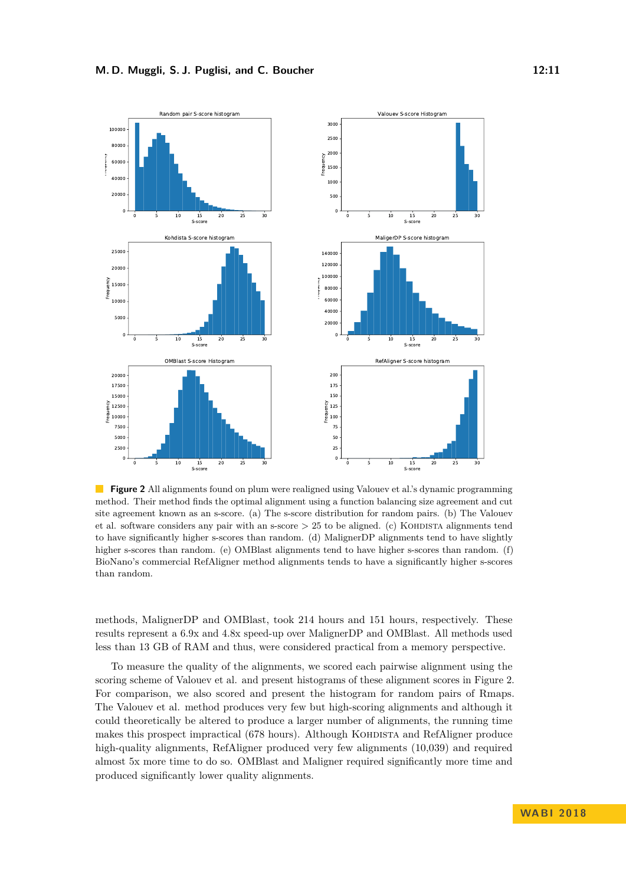<span id="page-10-0"></span>

**Figure 2** All alignments found on plum were realigned using Valouev et al.'s dynamic programming method. Their method finds the optimal alignment using a function balancing size agreement and cut site agreement known as an s-score. (a) The s-score distribution for random pairs. (b) The Valouev et al. software considers any pair with an s-score  $> 25$  to be aligned. (c) KOHDISTA alignments tend to have significantly higher s-scores than random. (d) MalignerDP alignments tend to have slightly higher s-scores than random. (e) OMBlast alignments tend to have higher s-scores than random. (f) BioNano's commercial RefAligner method alignments tends to have a significantly higher s-scores than random.

methods, MalignerDP and OMBlast, took 214 hours and 151 hours, respectively. These results represent a 6.9x and 4.8x speed-up over MalignerDP and OMBlast. All methods used less than 13 GB of RAM and thus, were considered practical from a memory perspective.

To measure the quality of the alignments, we scored each pairwise alignment using the scoring scheme of Valouev et al. and present histograms of these alignment scores in Figure [2.](#page-10-0) For comparison, we also scored and present the histogram for random pairs of Rmaps. The Valouev et al. method produces very few but high-scoring alignments and although it could theoretically be altered to produce a larger number of alignments, the running time makes this prospect impractical (678 hours). Although KOHDISTA and RefAligner produce high-quality alignments, RefAligner produced very few alignments  $(10,039)$  and required almost 5x more time to do so. OMBlast and Maligner required significantly more time and produced significantly lower quality alignments.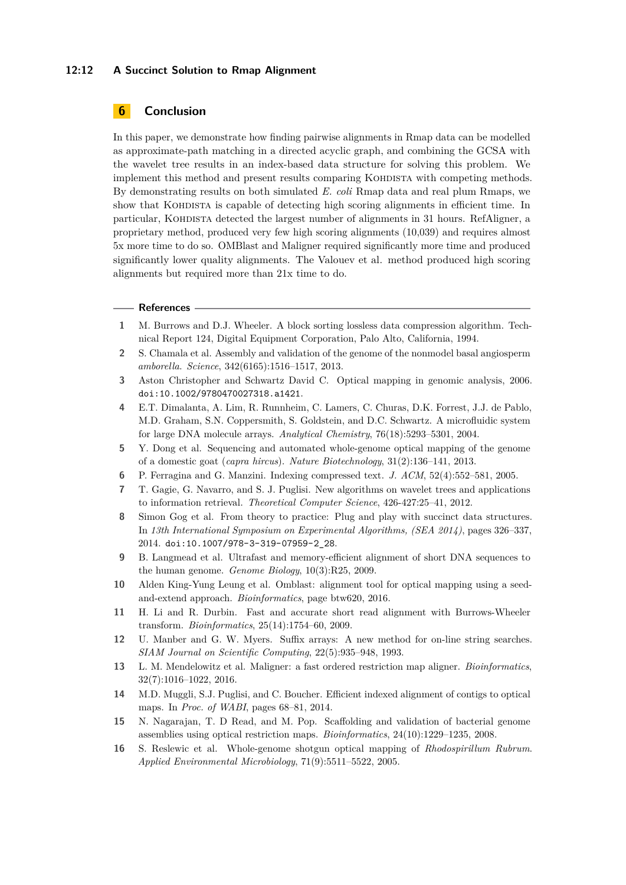### **12:12 A Succinct Solution to Rmap Alignment**

# **6 Conclusion**

In this paper, we demonstrate how finding pairwise alignments in Rmap data can be modelled as approximate-path matching in a directed acyclic graph, and combining the GCSA with the wavelet tree results in an index-based data structure for solving this problem. We implement this method and present results comparing KOHDISTA with competing methods. By demonstrating results on both simulated *E. coli* Rmap data and real plum Rmaps, we show that KOHDISTA is capable of detecting high scoring alignments in efficient time. In particular, Kohdista detected the largest number of alignments in 31 hours. RefAligner, a proprietary method, produced very few high scoring alignments (10,039) and requires almost 5x more time to do so. OMBlast and Maligner required significantly more time and produced significantly lower quality alignments. The Valouev et al. method produced high scoring alignments but required more than 21x time to do.

#### **References**

- <span id="page-11-13"></span>**1** M. Burrows and D.J. Wheeler. A block sorting lossless data compression algorithm. Technical Report 124, Digital Equipment Corporation, Palo Alto, California, 1994.
- <span id="page-11-3"></span>**2** S. Chamala et al. Assembly and validation of the genome of the nonmodel basal angiosperm *amborella*. *Science*, 342(6165):1516–1517, 2013.
- <span id="page-11-0"></span>**3** Aston Christopher and Schwartz David C. Optical mapping in genomic analysis, 2006. [doi:10.1002/9780470027318.a1421](http://dx.doi.org/10.1002/9780470027318.a1421).
- <span id="page-11-1"></span>**4** E.T. Dimalanta, A. Lim, R. Runnheim, C. Lamers, C. Churas, D.K. Forrest, J.J. de Pablo, M.D. Graham, S.N. Coppersmith, S. Goldstein, and D.C. Schwartz. A microfluidic system for large DNA molecule arrays. *Analytical Chemistry*, 76(18):5293–5301, 2004.
- <span id="page-11-4"></span>**5** Y. Dong et al. Sequencing and automated whole-genome optical mapping of the genome of a domestic goat (*capra hircus*). *Nature Biotechnology*, 31(2):136–141, 2013.
- <span id="page-11-14"></span>**6** P. Ferragina and G. Manzini. Indexing compressed text. *J. ACM*, 52(4):552–581, 2005.
- <span id="page-11-10"></span>**7** T. Gagie, G. Navarro, and S. J. Puglisi. New algorithms on wavelet trees and applications to information retrieval. *Theoretical Computer Science*, 426-427:25–41, 2012.
- <span id="page-11-15"></span>**8** Simon Gog et al. From theory to practice: Plug and play with succinct data structures. In *13th International Symposium on Experimental Algorithms, (SEA 2014)*, pages 326–337, 2014. [doi:10.1007/978-3-319-07959-2\\_28](http://dx.doi.org/10.1007/978-3-319-07959-2_28).
- <span id="page-11-9"></span>**9** B. Langmead et al. Ultrafast and memory-efficient alignment of short DNA sequences to the human genome. *Genome Biology*, 10(3):R25, 2009.
- <span id="page-11-5"></span>**10** Alden King-Yung Leung et al. Omblast: alignment tool for optical mapping using a seedand-extend approach. *Bioinformatics*, page btw620, 2016.
- <span id="page-11-8"></span>**11** H. Li and R. Durbin. Fast and accurate short read alignment with Burrows-Wheeler transform. *Bioinformatics*, 25(14):1754–60, 2009.
- <span id="page-11-12"></span>**12** U. Manber and G. W. Myers. Suffix arrays: A new method for on-line string searches. *SIAM Journal on Scientific Computing*, 22(5):935–948, 1993.
- <span id="page-11-6"></span>**13** L. M. Mendelowitz et al. Maligner: a fast ordered restriction map aligner. *Bioinformatics*, 32(7):1016–1022, 2016.
- <span id="page-11-11"></span>**14** M.D. Muggli, S.J. Puglisi, and C. Boucher. Efficient indexed alignment of contigs to optical maps. In *Proc. of WABI*, pages 68–81, 2014.
- <span id="page-11-7"></span>**15** N. Nagarajan, T. D Read, and M. Pop. Scaffolding and validation of bacterial genome assemblies using optical restriction maps. *Bioinformatics*, 24(10):1229–1235, 2008.
- <span id="page-11-2"></span>**16** S. Reslewic et al. Whole-genome shotgun optical mapping of *Rhodospirillum Rubrum*. *Applied Environmental Microbiology*, 71(9):5511–5522, 2005.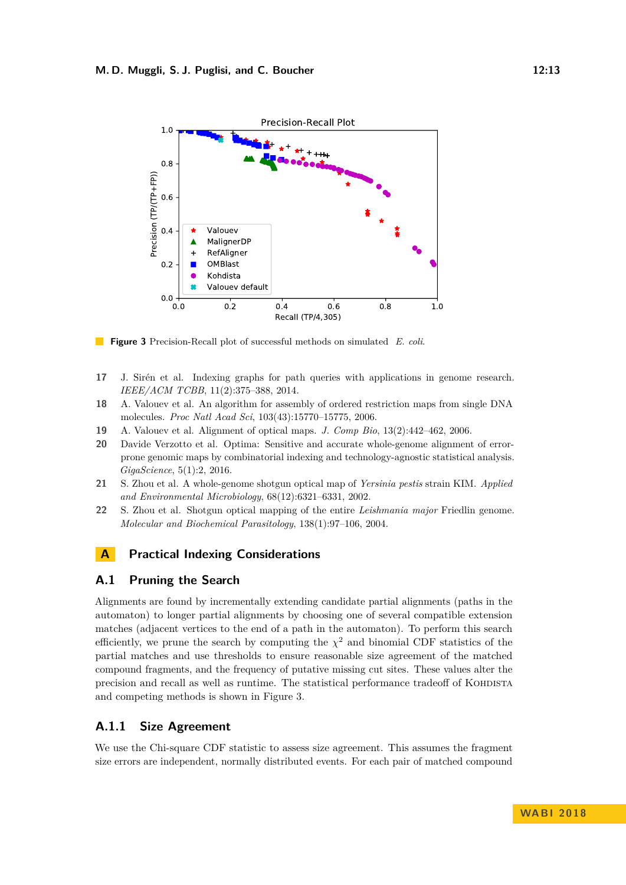<span id="page-12-6"></span>

 $\mathcal{L}_{\mathcal{A}}$ **Figure 3** Precision-Recall plot of successful methods on simulated *E. coli*.

- <span id="page-12-5"></span>**17** J. Sirén et al. Indexing graphs for path queries with applications in genome research. *IEEE/ACM TCBB*, 11(2):375–388, 2014.
- <span id="page-12-4"></span>**18** A. Valouev et al. An algorithm for assembly of ordered restriction maps from single DNA molecules. *Proc Natl Acad Sci*, 103(43):15770–15775, 2006.
- <span id="page-12-3"></span>**19** A. Valouev et al. Alignment of optical maps. *J. Comp Bio*, 13(2):442–462, 2006.
- <span id="page-12-2"></span>**20** Davide Verzotto et al. Optima: Sensitive and accurate whole-genome alignment of errorprone genomic maps by combinatorial indexing and technology-agnostic statistical analysis. *GigaScience*, 5(1):2, 2016.
- <span id="page-12-0"></span>**21** S. Zhou et al. A whole-genome shotgun optical map of *Yersinia pestis* strain KIM. *Applied and Environmental Microbiology*, 68(12):6321–6331, 2002.
- <span id="page-12-1"></span>**22** S. Zhou et al. Shotgun optical mapping of the entire *Leishmania major* Friedlin genome. *Molecular and Biochemical Parasitology*, 138(1):97–106, 2004.

# **A Practical Indexing Considerations**

# **A.1 Pruning the Search**

Alignments are found by incrementally extending candidate partial alignments (paths in the automaton) to longer partial alignments by choosing one of several compatible extension matches (adjacent vertices to the end of a path in the automaton). To perform this search efficiently, we prune the search by computing the  $\chi^2$  and binomial CDF statistics of the partial matches and use thresholds to ensure reasonable size agreement of the matched compound fragments, and the frequency of putative missing cut sites. These values alter the precision and recall as well as runtime. The statistical performance tradeoff of KOHDISTA and competing methods is shown in Figure [3.](#page-12-6)

# **A.1.1 Size Agreement**

We use the Chi-square CDF statistic to assess size agreement. This assumes the fragment size errors are independent, normally distributed events. For each pair of matched compound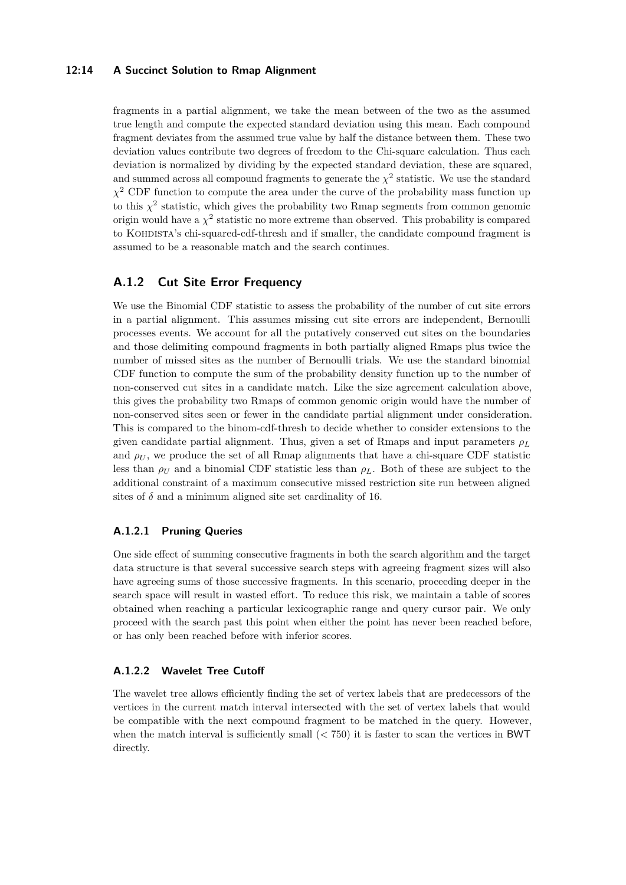### **12:14 A Succinct Solution to Rmap Alignment**

fragments in a partial alignment, we take the mean between of the two as the assumed true length and compute the expected standard deviation using this mean. Each compound fragment deviates from the assumed true value by half the distance between them. These two deviation values contribute two degrees of freedom to the Chi-square calculation. Thus each deviation is normalized by dividing by the expected standard deviation, these are squared, and summed across all compound fragments to generate the  $\chi^2$  statistic. We use the standard  $\chi^2$  CDF function to compute the area under the curve of the probability mass function up to this  $\chi^2$  statistic, which gives the probability two Rmap segments from common genomic origin would have a  $\chi^2$  statistic no more extreme than observed. This probability is compared to Kohdista's chi-squared-cdf-thresh and if smaller, the candidate compound fragment is assumed to be a reasonable match and the search continues.

# **A.1.2 Cut Site Error Frequency**

We use the Binomial CDF statistic to assess the probability of the number of cut site errors in a partial alignment. This assumes missing cut site errors are independent, Bernoulli processes events. We account for all the putatively conserved cut sites on the boundaries and those delimiting compound fragments in both partially aligned Rmaps plus twice the number of missed sites as the number of Bernoulli trials. We use the standard binomial CDF function to compute the sum of the probability density function up to the number of non-conserved cut sites in a candidate match. Like the size agreement calculation above, this gives the probability two Rmaps of common genomic origin would have the number of non-conserved sites seen or fewer in the candidate partial alignment under consideration. This is compared to the binom-cdf-thresh to decide whether to consider extensions to the given candidate partial alignment. Thus, given a set of Rmaps and input parameters  $\rho_L$ and  $\rho_U$ , we produce the set of all Rmap alignments that have a chi-square CDF statistic less than  $\rho_U$  and a binomial CDF statistic less than  $\rho_L$ . Both of these are subject to the additional constraint of a maximum consecutive missed restriction site run between aligned sites of  $\delta$  and a minimum aligned site set cardinality of 16.

#### **A.1.2.1 Pruning Queries**

One side effect of summing consecutive fragments in both the search algorithm and the target data structure is that several successive search steps with agreeing fragment sizes will also have agreeing sums of those successive fragments. In this scenario, proceeding deeper in the search space will result in wasted effort. To reduce this risk, we maintain a table of scores obtained when reaching a particular lexicographic range and query cursor pair. We only proceed with the search past this point when either the point has never been reached before, or has only been reached before with inferior scores.

#### **A.1.2.2 Wavelet Tree Cutoff**

The wavelet tree allows efficiently finding the set of vertex labels that are predecessors of the vertices in the current match interval intersected with the set of vertex labels that would be compatible with the next compound fragment to be matched in the query. However, when the match interval is sufficiently small (*<* 750) it is faster to scan the vertices in BWT directly.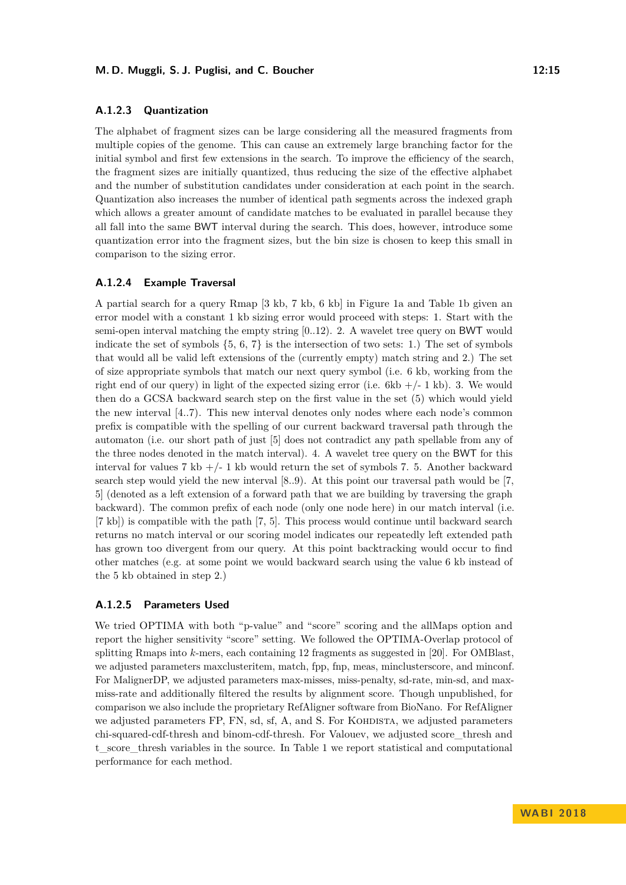#### **A.1.2.3 Quantization**

The alphabet of fragment sizes can be large considering all the measured fragments from multiple copies of the genome. This can cause an extremely large branching factor for the initial symbol and first few extensions in the search. To improve the efficiency of the search, the fragment sizes are initially quantized, thus reducing the size of the effective alphabet and the number of substitution candidates under consideration at each point in the search. Quantization also increases the number of identical path segments across the indexed graph which allows a greater amount of candidate matches to be evaluated in parallel because they all fall into the same BWT interval during the search. This does, however, introduce some quantization error into the fragment sizes, but the bin size is chosen to keep this small in comparison to the sizing error.

#### **A.1.2.4 Example Traversal**

A partial search for a query Rmap [3 kb, 7 kb, 6 kb] in Figure [1a](#page-5-0) and Table [1b](#page-5-0) given an error model with a constant 1 kb sizing error would proceed with steps: 1. Start with the semi-open interval matching the empty string [0..12). 2. A wavelet tree query on BWT would indicate the set of symbols  $\{5, 6, 7\}$  is the intersection of two sets: 1.) The set of symbols that would all be valid left extensions of the (currently empty) match string and 2.) The set of size appropriate symbols that match our next query symbol (i.e. 6 kb, working from the right end of our query) in light of the expected sizing error (i.e.  $6kb + (-1 kb)$ . 3. We would then do a GCSA backward search step on the first value in the set (5) which would yield the new interval [4..7). This new interval denotes only nodes where each node's common prefix is compatible with the spelling of our current backward traversal path through the automaton (i.e. our short path of just [5] does not contradict any path spellable from any of the three nodes denoted in the match interval). 4. A wavelet tree query on the BWT for this interval for values 7 kb  $+/- 1$  kb would return the set of symbols 7. 5. Another backward search step would yield the new interval [8..9). At this point our traversal path would be [7, 5] (denoted as a left extension of a forward path that we are building by traversing the graph backward). The common prefix of each node (only one node here) in our match interval (i.e. [7 kb]) is compatible with the path [7, 5]. This process would continue until backward search returns no match interval or our scoring model indicates our repeatedly left extended path has grown too divergent from our query. At this point backtracking would occur to find other matches (e.g. at some point we would backward search using the value 6 kb instead of the 5 kb obtained in step 2.)

### **A.1.2.5 Parameters Used**

We tried OPTIMA with both "p-value" and "score" scoring and the allMaps option and report the higher sensitivity "score" setting. We followed the OPTIMA-Overlap protocol of splitting Rmaps into *k*-mers, each containing 12 fragments as suggested in [\[20\]](#page-12-2). For OMBlast, we adjusted parameters maxclusteritem, match, fpp, fnp, meas, minclusterscore, and minconf. For MalignerDP, we adjusted parameters max-misses, miss-penalty, sd-rate, min-sd, and maxmiss-rate and additionally filtered the results by alignment score. Though unpublished, for comparison we also include the proprietary RefAligner software from BioNano. For RefAligner we adjusted parameters FP, FN, sd, sf, A, and S. For KOHDISTA, we adjusted parameters chi-squared-cdf-thresh and binom-cdf-thresh. For Valouev, we adjusted score\_thresh and t\_score\_thresh variables in the source. In Table [1](#page-9-0) we report statistical and computational performance for each method.